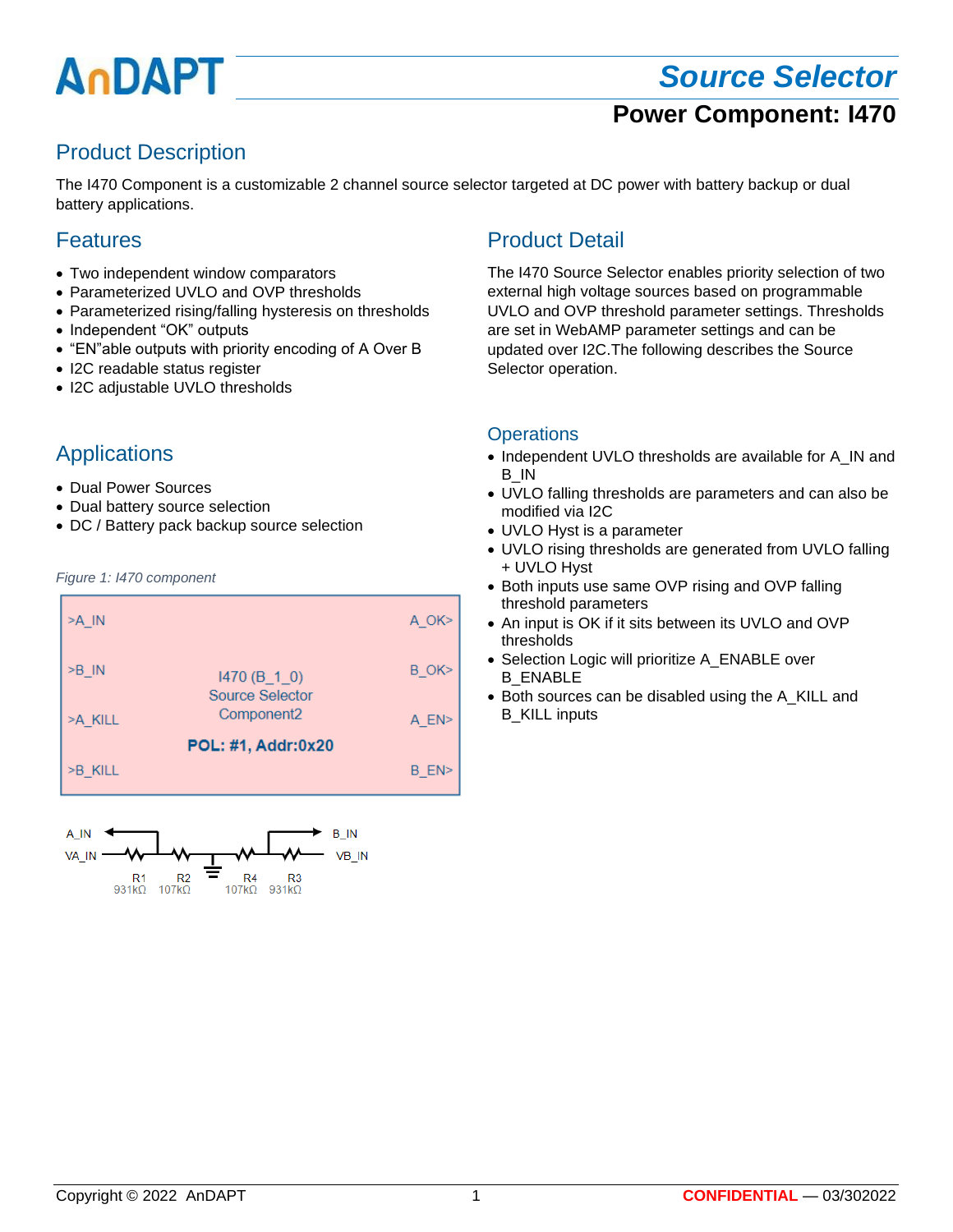# AnDAPT

# *Source Selector* **Power Component: I470**

## Product Description

The I470 Component is a customizable 2 channel source selector targeted at DC power with battery backup or dual battery applications.

#### **Features**

- Two independent window comparators
- Parameterized UVLO and OVP thresholds
- Parameterized rising/falling hysteresis on thresholds
- Independent "OK" outputs
- "EN"able outputs with priority encoding of A Over B
- I2C readable status register
- I2C adjustable UVLO thresholds

#### Applications

- Dual Power Sources
- Dual battery source selection
- DC / Battery pack backup source selection

#### *Figure 1: I470 component*





### Product Detail

The I470 Source Selector enables priority selection of two external high voltage sources based on programmable UVLO and OVP threshold parameter settings. Thresholds are set in WebAMP parameter settings and can be updated over I2C.The following describes the Source Selector operation.

#### **Operations**

- Independent UVLO thresholds are available for A\_IN and B\_IN
- UVLO falling thresholds are parameters and can also be modified via I2C
- UVLO Hyst is a parameter
- UVLO rising thresholds are generated from UVLO falling + UVLO Hyst
- Both inputs use same OVP rising and OVP falling threshold parameters
- An input is OK if it sits between its UVLO and OVP thresholds
- Selection Logic will prioritize A ENABLE over B\_ENABLE
- Both sources can be disabled using the A\_KILL and B\_KILL inputs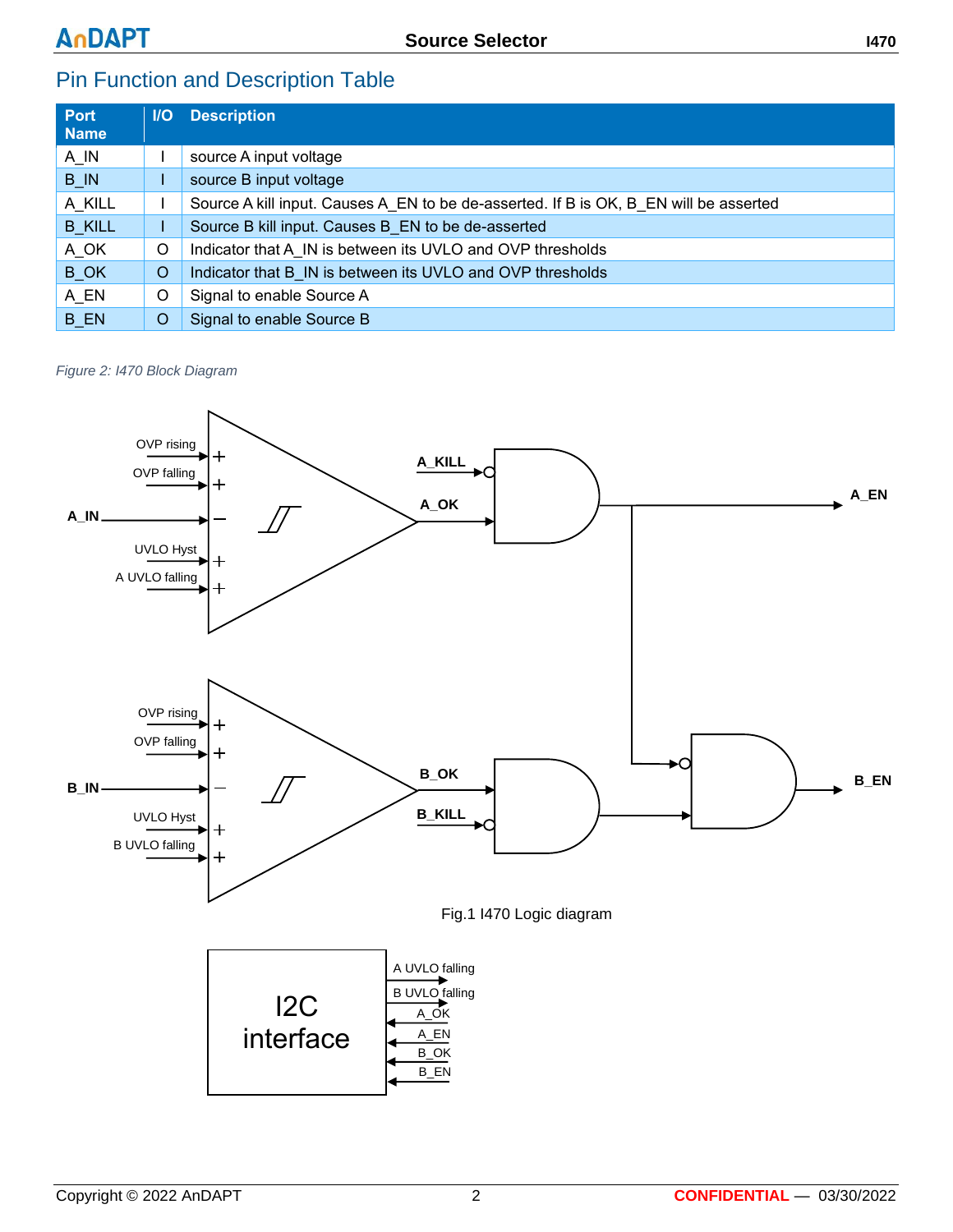## Pin Function and Description Table

| <b>Port</b><br><b>Name</b> |   | <b>I/O</b> Description                                                                |
|----------------------------|---|---------------------------------------------------------------------------------------|
| $A$ <sub>IN</sub>          |   | source A input voltage                                                                |
| $B$ <sub>IN</sub>          |   | source B input voltage                                                                |
| A KILL                     |   | Source A kill input. Causes A EN to be de-asserted. If B is OK, B EN will be asserted |
| <b>B KILL</b>              |   | Source B kill input. Causes B EN to be de-asserted                                    |
| A_OK                       | O | Indicator that A IN is between its UVLO and OVP thresholds                            |
| <b>B</b> OK                | O | Indicator that B IN is between its UVLO and OVP thresholds                            |
| A_EN                       | O | Signal to enable Source A                                                             |
| <b>B</b> EN                | O | Signal to enable Source B                                                             |

*Figure 2: I470 Block Diagram*

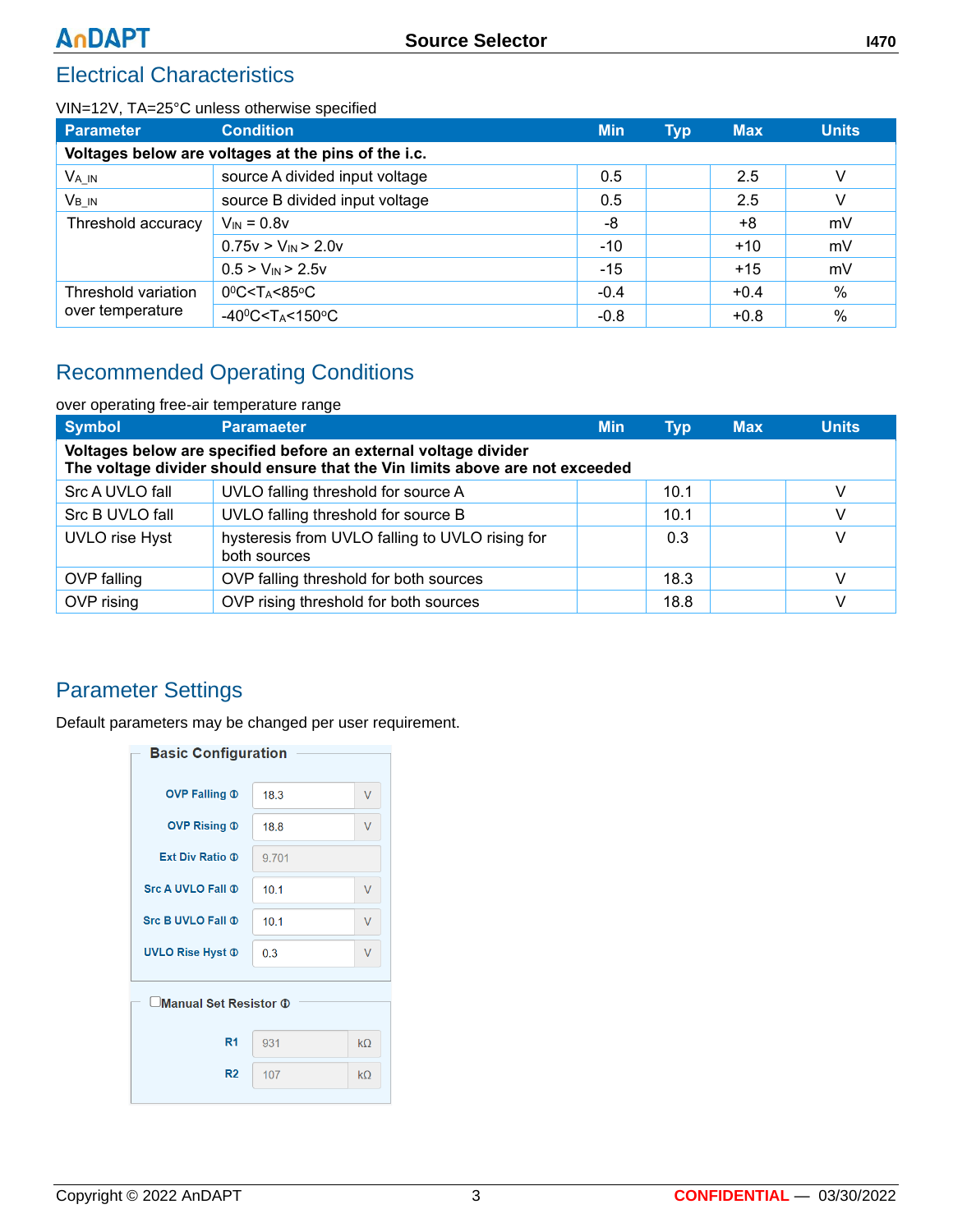## Electrical Characteristics

#### VIN=12V, TA=25°C unless otherwise specified

| Parameter                                           | <b>Condition</b>                                       | <b>Min</b> | <b>Typ</b> | <b>Max</b> | <b>Units</b> |  |  |  |
|-----------------------------------------------------|--------------------------------------------------------|------------|------------|------------|--------------|--|--|--|
| Voltages below are voltages at the pins of the i.c. |                                                        |            |            |            |              |  |  |  |
| $V_{A\_IN}$                                         | source A divided input voltage                         |            | 2.5        | V          |              |  |  |  |
| V <sub>B</sub> in                                   | source B divided input voltage                         | 0.5        |            | 2.5        | V            |  |  |  |
| Threshold accuracy                                  | $V_{IN} = 0.8v$                                        | -8         |            | +8         | mV           |  |  |  |
|                                                     | $0.75v > V_{IN} > 2.0v$                                | $-10$      |            | $+10$      | mV           |  |  |  |
|                                                     | $0.5 > V_{IN} > 2.5V$                                  | $-15$      |            | $+15$      | mV           |  |  |  |
| Threshold variation                                 | $0^0C < T_A < 85^0C$                                   | $-0.4$     |            | $+0.4$     | %            |  |  |  |
| over temperature                                    | -40 $0$ C <t<sub>A&lt;150<math>\degree</math>C</t<sub> | $-0.8$     |            | $+0.8$     | $\%$         |  |  |  |

## Recommended Operating Conditions

| over operating free-air temperature range                                                                                                       |                                                                 |            |            |            |              |  |  |
|-------------------------------------------------------------------------------------------------------------------------------------------------|-----------------------------------------------------------------|------------|------------|------------|--------------|--|--|
| <b>Symbol</b>                                                                                                                                   | <b>Paramaeter</b>                                               | <b>Min</b> | <b>Tvp</b> | <b>Max</b> | <b>Units</b> |  |  |
| Voltages below are specified before an external voltage divider<br>The voltage divider should ensure that the Vin limits above are not exceeded |                                                                 |            |            |            |              |  |  |
| Src A UVLO fall                                                                                                                                 | UVLO falling threshold for source A                             |            | 10.1       |            | V            |  |  |
| Src B UVLO fall                                                                                                                                 | UVLO falling threshold for source B                             |            | 10.1       |            | V            |  |  |
| <b>UVLO</b> rise Hyst                                                                                                                           | hysteresis from UVLO falling to UVLO rising for<br>both sources |            | 0.3        |            | V            |  |  |
| OVP falling                                                                                                                                     | OVP falling threshold for both sources                          |            | 18.3       |            | V            |  |  |
| OVP rising                                                                                                                                      | OVP rising threshold for both sources                           |            | 18.8       |            | V            |  |  |

### Parameter Settings

Default parameters may be changed per user requirement.

| <b>Basic Configuration</b> |       |        |  |  |  |  |
|----------------------------|-------|--------|--|--|--|--|
| <b>OVP Falling 1</b>       | 183   | V      |  |  |  |  |
| <b>OVP Rising 1</b>        | 18.8  | V      |  |  |  |  |
| Ext Div Ratio <b>T</b>     | 9.701 |        |  |  |  |  |
| <b>Src A UVLO Fall ®</b>   | 10.1  | V      |  |  |  |  |
| <b>Src B UVLO Fall ®</b>   | 10.1  | V      |  |  |  |  |
| <b>UVLO Rise Hyst ®</b>    | 0.3   | $\vee$ |  |  |  |  |
| Manual Set Resistor 1      |       |        |  |  |  |  |
| R <sub>1</sub>             | 931   | kO     |  |  |  |  |
| R <sub>2</sub>             | 107   | kO     |  |  |  |  |
|                            |       |        |  |  |  |  |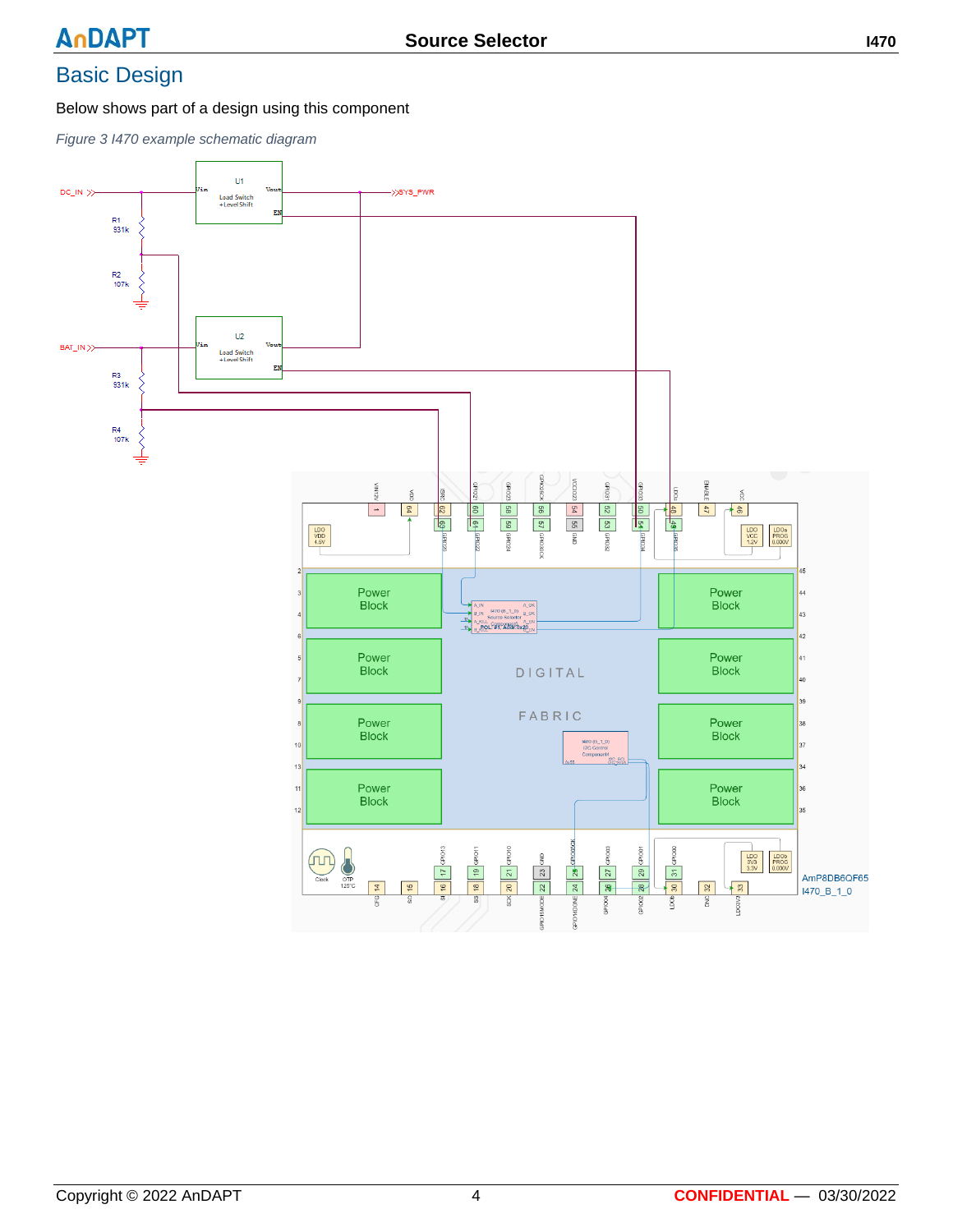# Basic Design

Below shows part of a design using this component

*Figure 3 I470 example schematic diagram*

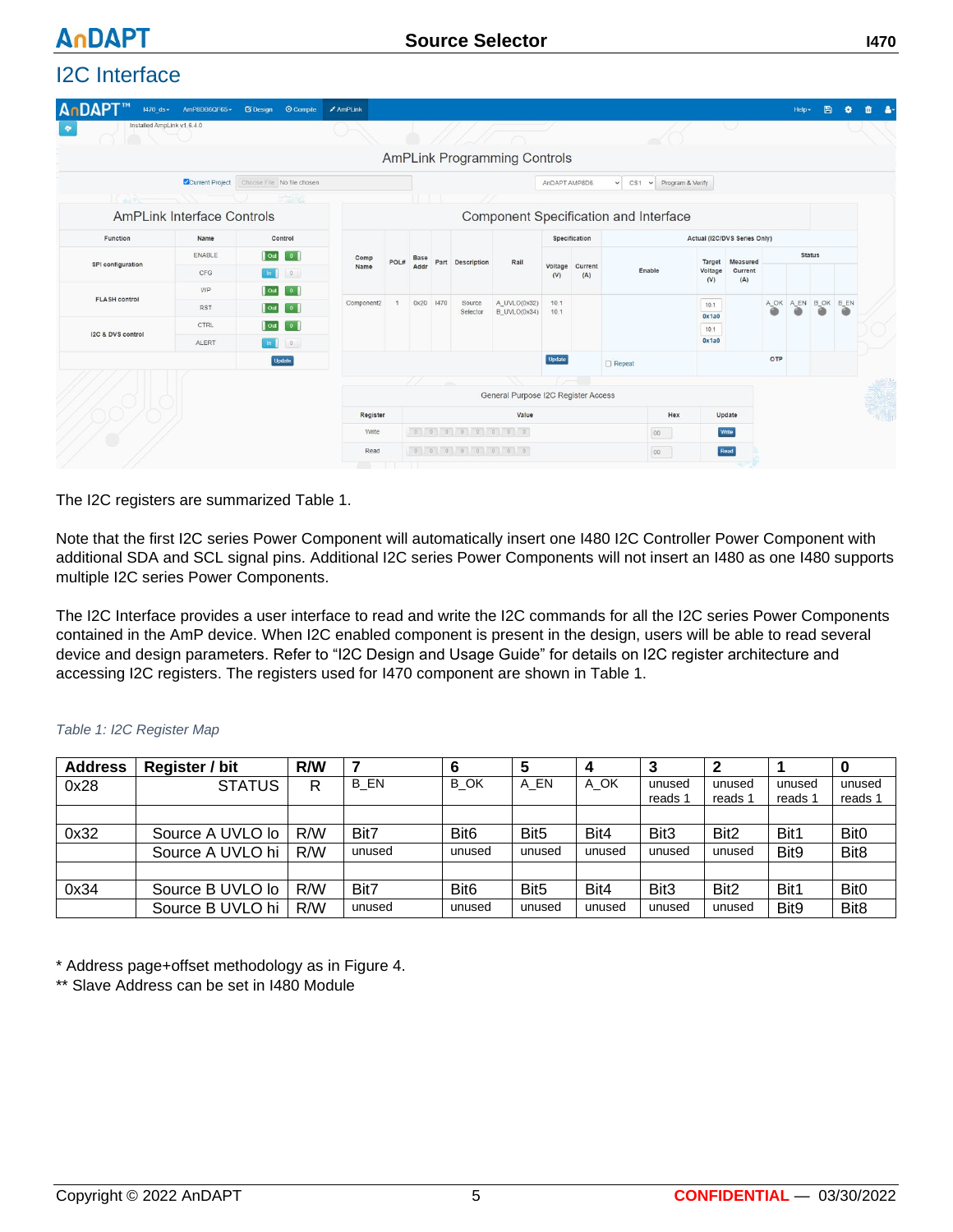# I2C Interface

**AnDAPT** 

| $1470$ ds $\star$           | AmP8DB6QF65                       | © Compile<br><b>B</b> Design    | AmPLink  |                            |           |                    |                                     |                |                |                                       |                |                              |     | Help - | B                        |               | 亩 | д. |  |
|-----------------------------|-----------------------------------|---------------------------------|----------|----------------------------|-----------|--------------------|-------------------------------------|----------------|----------------|---------------------------------------|----------------|------------------------------|-----|--------|--------------------------|---------------|---|----|--|
| ٠                           | Installed AmpLink v1.6.4.0        |                                 |          |                            |           |                    |                                     |                |                |                                       |                | VI.                          |     |        |                          |               |   |    |  |
|                             |                                   |                                 |          |                            |           |                    | <b>AmPLink Programming Controls</b> |                |                |                                       |                |                              |     |        |                          |               |   |    |  |
|                             | Current Project                   | Choose File No file chosen      |          |                            |           |                    |                                     | AnDAPT AMP8D6  |                | $\vee$ Program & Verify<br>$\vee$ CS1 |                |                              |     |        |                          |               |   |    |  |
| $\left($ and $\mathbb{R}^2$ |                                   | $\leq$ and $\leq$               |          |                            |           |                    |                                     |                |                |                                       |                |                              |     |        |                          |               |   |    |  |
|                             | <b>AmPLink Interface Controls</b> |                                 |          |                            |           |                    |                                     |                |                | Component Specification and Interface |                |                              |     |        |                          |               |   |    |  |
| Function                    | Name                              | Control                         |          |                            |           |                    |                                     |                | Specification  |                                       |                | Actual (I2C/DVS Series Only) |     |        |                          |               |   |    |  |
|                             | ENABLE                            | Out<br>$\overline{0}$           | Comp     | POL#                       | Base      | Part Description   | Rail                                |                |                |                                       | Target         | Measured                     |     |        |                          | <b>Status</b> |   |    |  |
| SPI configuration           | CFG                               | $\circ$<br>In                   | Name     |                            | Addr      |                    |                                     | Voltage<br>(V) | Current<br>(A) | Enable                                | Voltage<br>(V) | Current<br>(A)               |     |        |                          |               |   |    |  |
| <b>FLASH control</b>        | WP                                | $\overline{\phantom{0}}$<br>Out |          | Component2<br>$\mathbf{1}$ |           |                    |                                     |                |                |                                       |                |                              |     |        |                          |               |   |    |  |
|                             | <b>RST</b>                        | $\overline{\phantom{a}}$<br>Out |          |                            | 0x20 1470 | Source<br>Selector | A_UVLO(0x32)<br><b>B_UVLO(0x34)</b> | 10.1<br>10.1   |                |                                       | 10.1<br>0x1a0  |                              |     |        | A_OK A_EN B_OK B_EN<br>⋒ | 6             |   |    |  |
| I2C & DVS control           | CTRL                              | $\overline{\phantom{a}}$<br>Out |          |                            |           |                    |                                     |                |                | 10.1                                  |                |                              |     |        |                          |               |   |    |  |
|                             | ALERT                             | 0.<br>In                        |          |                            |           |                    |                                     |                |                |                                       | 0x1a0          |                              |     |        |                          |               |   |    |  |
|                             |                                   | Update                          |          |                            |           |                    |                                     | Update         |                | $\Box$ Repeat                         |                |                              | OTP |        |                          |               |   |    |  |
|                             |                                   |                                 |          |                            | -14       |                    |                                     |                |                |                                       |                |                              |     |        |                          |               |   |    |  |
|                             |                                   |                                 |          |                            |           |                    | General Purpose I2C Register Access |                |                |                                       |                |                              |     |        |                          |               |   | R. |  |
|                             |                                   |                                 | Register |                            |           |                    | Value                               |                |                | Hex                                   |                | Update                       |     |        |                          |               |   |    |  |
|                             |                                   |                                 | Write    |                            |           | 0 0 0 0 0 0 0 0 0  |                                     |                |                | 00                                    |                | Write                        |     |        |                          |               |   |    |  |
|                             |                                   |                                 | Read     |                            |           |                    |                                     |                |                | 00                                    |                | Read                         |     |        |                          |               |   |    |  |
|                             |                                   |                                 |          |                            |           |                    |                                     |                |                |                                       |                |                              |     |        |                          |               |   |    |  |

The I2C registers are summarized Table 1.

Note that the first I2C series Power Component will automatically insert one I480 I2C Controller Power Component with additional SDA and SCL signal pins. Additional I2C series Power Components will not insert an I480 as one I480 supports multiple I2C series Power Components.

The I2C Interface provides a user interface to read and write the I2C commands for all the I2C series Power Components contained in the AmP device. When I2C enabled component is present in the design, users will be able to read several device and design parameters. Refer to "I2C Design and Usage Guide" for details on I2C register architecture and accessing I2C registers. The registers used for I470 component are shown in Table 1.

| <b>Address</b> | Register / bit   | R/W |        | 6                | 5                |        |                  |                  |                  |                  |
|----------------|------------------|-----|--------|------------------|------------------|--------|------------------|------------------|------------------|------------------|
| 0x28           | <b>STATUS</b>    | R   | B EN   | B OK             | A EN             | A OK   | unused           | unused           | unused           | unused           |
|                |                  |     |        |                  |                  |        | reads 1          | reads 1          | reads 1          | reads 1          |
|                |                  |     |        |                  |                  |        |                  |                  |                  |                  |
| 0x32           | Source A UVLO lo | R/W | Bit7   | Bit <sub>6</sub> | Bit <sub>5</sub> | Bit4   | Bit <sub>3</sub> | Bit <sub>2</sub> | Bit1             | Bit <sub>0</sub> |
|                | Source A UVLO hi | R/W | unused | unused           | unused           | unused | unused           | unused           | Bit <sub>9</sub> | Bit <sub>8</sub> |
|                |                  |     |        |                  |                  |        |                  |                  |                  |                  |
| 0x34           | Source B UVLO lo | R/W | Bit7   | Bit <sub>6</sub> | Bit <sub>5</sub> | Bit4   | Bit <sub>3</sub> | Bit <sub>2</sub> | Bit1             | <b>Bit0</b>      |
|                | Source B UVLO hi | R/W | unused | unused           | unused           | unused | unused           | unused           | Bit <sub>9</sub> | Bit <sub>8</sub> |

#### *Table 1: I2C Register Map*

\* Address page+offset methodology as in Figure 4.

\*\* Slave Address can be set in I480 Module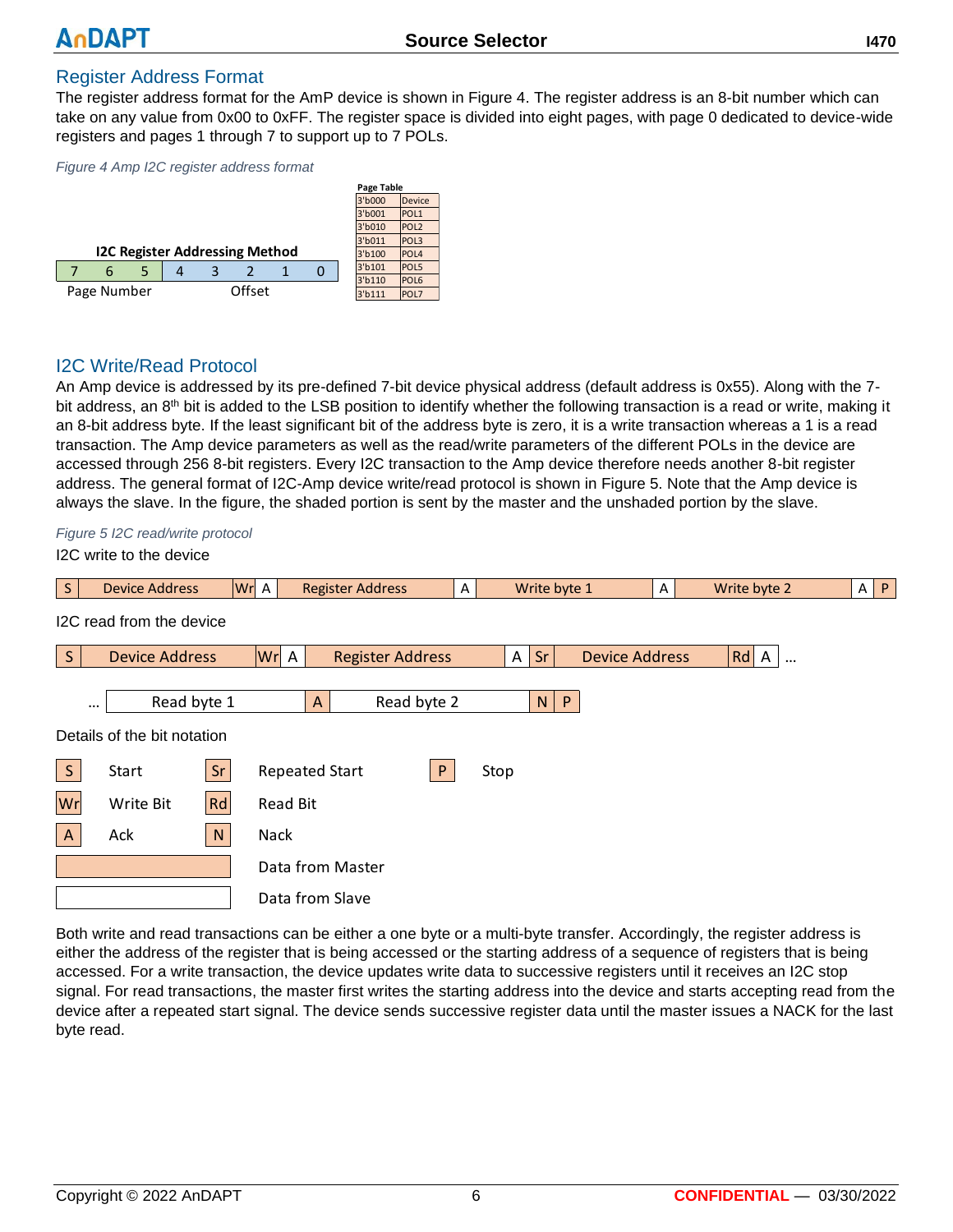#### Register Address Format

The register address format for the AmP device is shown in [Figure 4](#page-5-0). The register address is an 8-bit number which can take on any value from 0x00 to 0xFF. The register space is divided into eight pages, with page 0 dedicated to device-wide registers and pages 1 through 7 to support up to 7 POLs.

<span id="page-5-0"></span>*Figure 4 Amp I2C register address format*

|             |   |  |  |  |                                       |  |        | Page Table |                  |
|-------------|---|--|--|--|---------------------------------------|--|--------|------------|------------------|
|             |   |  |  |  |                                       |  |        | 3'b000     | <b>Device</b>    |
|             |   |  |  |  |                                       |  |        | 3'b001     | POL <sub>1</sub> |
|             |   |  |  |  |                                       |  |        | 3'b010     | POL <sub>2</sub> |
|             |   |  |  |  |                                       |  |        | 3'b011     | POL <sub>3</sub> |
|             |   |  |  |  | <b>I2C Register Addressing Method</b> |  |        | 3'b100     | POL <sub>4</sub> |
|             | 6 |  |  |  |                                       |  |        | 3'b101     | POL5             |
|             |   |  |  |  |                                       |  |        | 3'b110     | POL <sub>6</sub> |
| Page Number |   |  |  |  | Offset                                |  | 3'b111 | POL7       |                  |

#### I2C Write/Read Protocol

An Amp device is addressed by its pre-defined 7-bit device physical address (default address is 0x55). Along with the 7 bit address, an 8<sup>th</sup> bit is added to the LSB position to identify whether the following transaction is a read or write, making it an 8-bit address byte. If the least significant bit of the address byte is zero, it is a write transaction whereas a 1 is a read transaction. The Amp device parameters as well as the read/write parameters of the different POLs in the device are accessed through 256 8-bit registers. Every I2C transaction to the Amp device therefore needs another 8-bit register address. The general format of I2C-Amp device write/read protocol is shown in Figure 5. Note that the Amp device is always the slave. In the figure, the shaded portion is sent by the master and the unshaded portion by the slave.

*Figure 5 I2C read/write protocol*

I2C write to the device

| S.           | <b>Device Address</b>       | Wr A |                       | <b>Register Address</b> | Α |          |    | Write byte 1          | A | Write byte 2                   | P<br>A |
|--------------|-----------------------------|------|-----------------------|-------------------------|---|----------|----|-----------------------|---|--------------------------------|--------|
|              | I2C read from the device    |      |                       |                         |   |          |    |                       |   |                                |        |
| S            | <b>Device Address</b>       |      | Wr A                  | <b>Register Address</b> |   | $A \mid$ | Sr | <b>Device Address</b> |   | Rd<br>$\mathsf{A}$<br>$\cdots$ |        |
|              | Read byte 1<br>$\cdots$     |      |                       | Read byte 2<br>A        |   |          | N  | P                     |   |                                |        |
|              | Details of the bit notation |      |                       |                         |   |          |    |                       |   |                                |        |
| S            | Start                       | Sr   | <b>Repeated Start</b> |                         | P | Stop     |    |                       |   |                                |        |
| Wr           | Write Bit                   | Rd   | <b>Read Bit</b>       |                         |   |          |    |                       |   |                                |        |
| $\mathsf{A}$ | Ack                         | N    | <b>Nack</b>           |                         |   |          |    |                       |   |                                |        |
|              |                             |      |                       | Data from Master        |   |          |    |                       |   |                                |        |
|              |                             |      |                       | Data from Slave         |   |          |    |                       |   |                                |        |

Both write and read transactions can be either a one byte or a multi-byte transfer. Accordingly, the register address is either the address of the register that is being accessed or the starting address of a sequence of registers that is being accessed. For a write transaction, the device updates write data to successive registers until it receives an I2C stop signal. For read transactions, the master first writes the starting address into the device and starts accepting read from the device after a repeated start signal. The device sends successive register data until the master issues a NACK for the last byte read.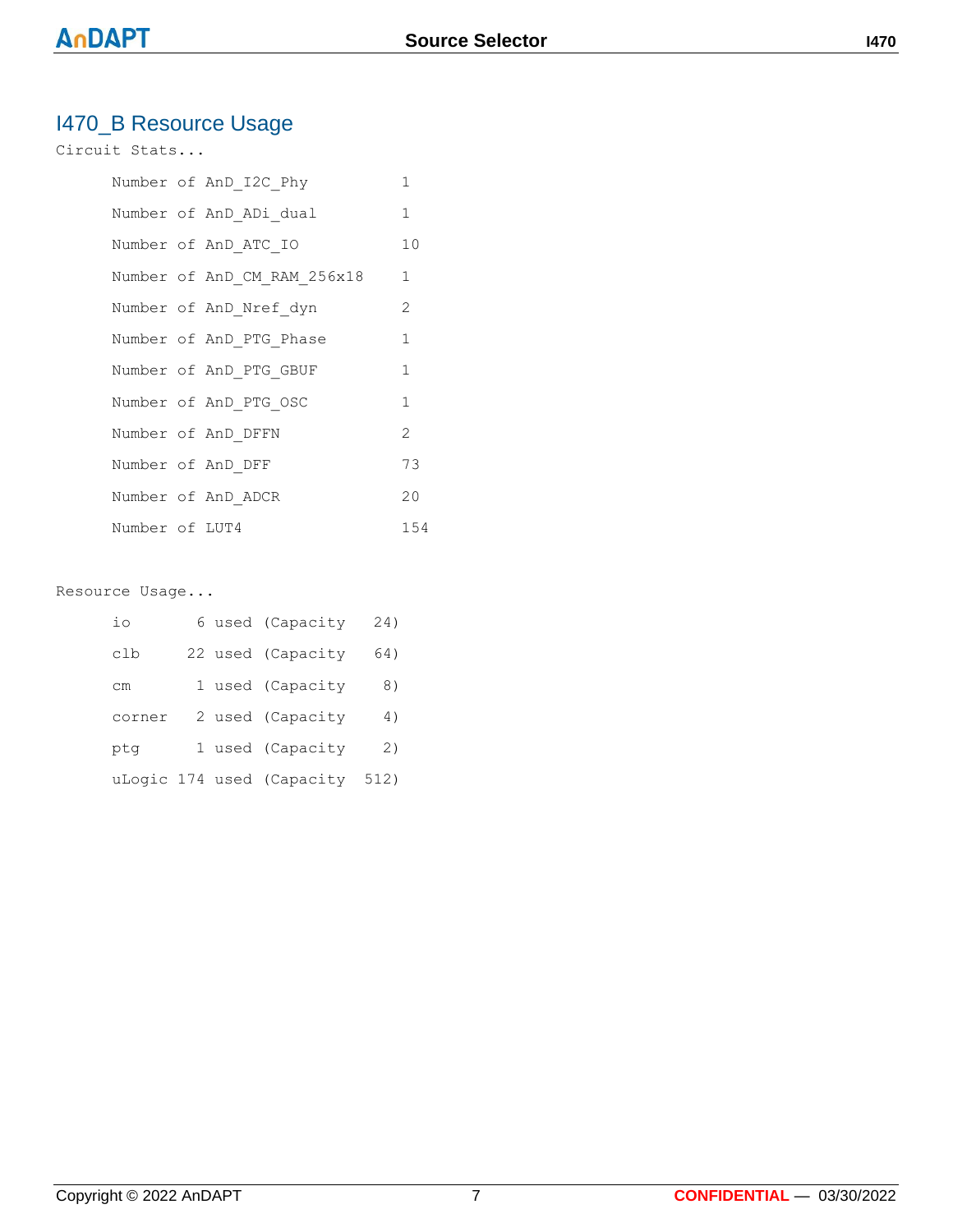# I470\_B Resource Usage

#### Circuit Stats...

|                | Number of AnD I2C Phy       | 1             |
|----------------|-----------------------------|---------------|
|                | Number of AnD ADi dual      | 1             |
|                | Number of AnD ATC IO        | 10            |
|                | Number of AnD CM RAM 256x18 | $\mathbf{1}$  |
|                | Number of AnD Nref dyn      | 2             |
|                | Number of AnD PTG Phase     | 1             |
|                | Number of AnD PTG GBUF      | 1             |
|                | Number of AnD PTG OSC       | $\mathbf{1}$  |
|                | Number of AnD DFFN          | $\mathcal{L}$ |
|                | Number of AnD DFF           | 73            |
|                | Number of AnD ADCR          | 20            |
| Number of LUT4 |                             | 154           |

#### Resource Usage...

| io     |  | 6 used (Capacity          | 24)  |
|--------|--|---------------------------|------|
| clb    |  | 22 used (Capacity         | 64)  |
| сm     |  | 1 used (Capacity          | 8)   |
| corner |  | 2 used (Capacity          | 4)   |
| ptq    |  | 1 used (Capacity          | 2)   |
|        |  | uLogic 174 used (Capacity | 512) |